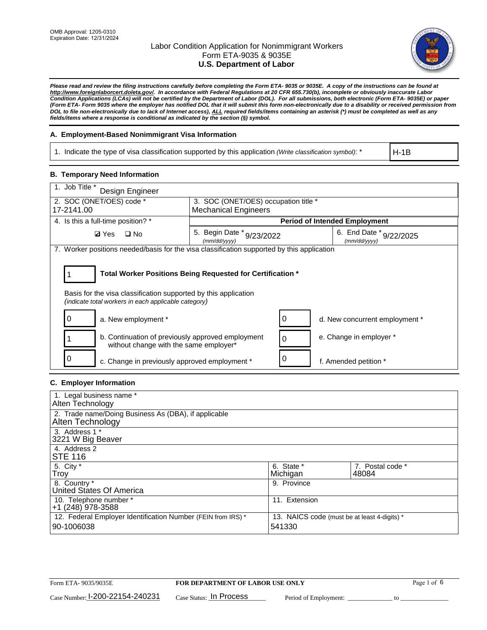

*Please read and review the filing instructions carefully before completing the Form ETA- 9035 or 9035E. A copy of the instructions can be found at [http://www.foreignlaborcert.doleta.gov/.](http://www.foreignlaborcert.doleta.gov/) In accordance with Federal Regulations at 20 CFR 655.730(b), incomplete or obviously inaccurate Labor Condition Applications (LCAs) will not be certified by the Department of Labor (DOL). For all submissions, both electronic (Form ETA- 9035E) or paper (Form ETA- Form 9035 where the employer has notified DOL that it will submit this form non-electronically due to a disability or received permission from DOL to file non-electronically due to lack of Internet access), ALL required fields/items containing an asterisk (\*) must be completed as well as any fields/items where a response is conditional as indicated by the section (§) symbol.* 

### **A. Employment-Based Nonimmigrant Visa Information**

1. Indicate the type of visa classification supported by this application *(Write classification symbol)*: \*

H-1B

#### **B. Temporary Need Information**

| 1. Job Title *<br>Design Engineer                                                                                                                                                     |                                           |                                             |  |  |  |
|---------------------------------------------------------------------------------------------------------------------------------------------------------------------------------------|-------------------------------------------|---------------------------------------------|--|--|--|
| 2. SOC (ONET/OES) code *                                                                                                                                                              | 3. SOC (ONET/OES) occupation title *      |                                             |  |  |  |
| 17-2141.00                                                                                                                                                                            | <b>Mechanical Engineers</b>               |                                             |  |  |  |
| 4. Is this a full-time position? *                                                                                                                                                    |                                           | <b>Period of Intended Employment</b>        |  |  |  |
| <b>Ø</b> Yes<br>$\Box$ No                                                                                                                                                             | 5. Begin Date * 9/23/2022<br>(mm/dd/yyyy) | 6. End Date $*_{9/22/2025}$<br>(mm/dd/yyyy) |  |  |  |
| 7. Worker positions needed/basis for the visa classification supported by this application                                                                                            |                                           |                                             |  |  |  |
| Total Worker Positions Being Requested for Certification *<br>Basis for the visa classification supported by this application<br>(indicate total workers in each applicable category) |                                           |                                             |  |  |  |
| 0<br>a. New employment *                                                                                                                                                              | 0                                         | d. New concurrent employment *              |  |  |  |
| b. Continuation of previously approved employment<br>without change with the same employer*                                                                                           | $\Omega$                                  | e. Change in employer *                     |  |  |  |
| O<br>c. Change in previously approved employment *                                                                                                                                    | 0                                         | f. Amended petition *                       |  |  |  |

### **C. Employer Information**

| 1. Legal business name *                                                                                     |               |                  |
|--------------------------------------------------------------------------------------------------------------|---------------|------------------|
| Alten Technology                                                                                             |               |                  |
| 2. Trade name/Doing Business As (DBA), if applicable                                                         |               |                  |
| Alten Technology                                                                                             |               |                  |
| 3. Address 1 *                                                                                               |               |                  |
| 3221 W Big Beaver                                                                                            |               |                  |
| 4. Address 2                                                                                                 |               |                  |
| <b>STE 116</b>                                                                                               |               |                  |
| 5. City *                                                                                                    | 6. State *    | 7. Postal code * |
| Troy                                                                                                         | Michigan      | 48084            |
| 8. Country *                                                                                                 | 9. Province   |                  |
| United States Of America                                                                                     |               |                  |
| 10. Telephone number *                                                                                       | 11. Extension |                  |
| +1 (248) 978-3588                                                                                            |               |                  |
| 12. Federal Employer Identification Number (FEIN from IRS) *<br>13. NAICS code (must be at least 4-digits) * |               |                  |
| 90-1006038                                                                                                   | 541330        |                  |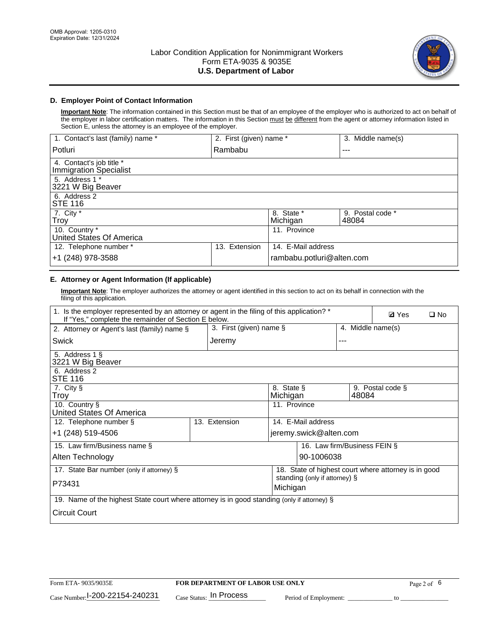

## **D. Employer Point of Contact Information**

**Important Note**: The information contained in this Section must be that of an employee of the employer who is authorized to act on behalf of the employer in labor certification matters. The information in this Section must be different from the agent or attorney information listed in Section E, unless the attorney is an employee of the employer.

| 1. Contact's last (family) name *                  | 2. First (given) name * |                           | 3. Middle name(s)         |
|----------------------------------------------------|-------------------------|---------------------------|---------------------------|
| Potluri                                            | Rambabu                 |                           | $- - -$                   |
| 4. Contact's job title *<br>Immigration Specialist |                         |                           |                           |
| 5. Address 1 *<br>3221 W Big Beaver                |                         |                           |                           |
| 6. Address 2<br><b>STE 116</b>                     |                         |                           |                           |
| 7. City $*$<br>Troy                                |                         | 8. State *<br>Michigan    | 9. Postal code *<br>48084 |
| 10. Country *<br>United States Of America          |                         | 11. Province              |                           |
| 12. Telephone number *                             | Extension<br>13.        | 14. E-Mail address        |                           |
| +1 (248) 978-3588                                  |                         | rambabu.potluri@alten.com |                           |

# **E. Attorney or Agent Information (If applicable)**

**Important Note**: The employer authorizes the attorney or agent identified in this section to act on its behalf in connection with the filing of this application.

| 1. Is the employer represented by an attorney or agent in the filing of this application? *<br><b>Ø</b> Yes<br>If "Yes," complete the remainder of Section E below. |                                                      |                                           |                              |  | $\Box$ No |                   |  |
|---------------------------------------------------------------------------------------------------------------------------------------------------------------------|------------------------------------------------------|-------------------------------------------|------------------------------|--|-----------|-------------------|--|
| 3. First (given) name §<br>2. Attorney or Agent's last (family) name §                                                                                              |                                                      |                                           |                              |  |           | 4. Middle name(s) |  |
| Swick                                                                                                                                                               | Jeremy<br>---                                        |                                           |                              |  |           |                   |  |
| 5. Address 1 §<br>3221 W Big Beaver                                                                                                                                 |                                                      |                                           |                              |  |           |                   |  |
| 6. Address 2<br><b>STE 116</b>                                                                                                                                      |                                                      |                                           |                              |  |           |                   |  |
| 7. City §<br>8. State §<br>9. Postal code §<br>Troy<br>Michigan<br>48084                                                                                            |                                                      |                                           |                              |  |           |                   |  |
| 10. Country §<br>United States Of America                                                                                                                           |                                                      | 11. Province                              |                              |  |           |                   |  |
| 12. Telephone number §                                                                                                                                              | 13. Extension                                        | 14. E-Mail address                        |                              |  |           |                   |  |
| +1 (248) 519-4506                                                                                                                                                   |                                                      |                                           | jeremy.swick@alten.com       |  |           |                   |  |
| 15. Law firm/Business name §                                                                                                                                        |                                                      |                                           | 16. Law firm/Business FEIN § |  |           |                   |  |
| Alten Technology                                                                                                                                                    |                                                      |                                           | 90-1006038                   |  |           |                   |  |
| 17. State Bar number (only if attorney) §                                                                                                                           | 18. State of highest court where attorney is in good |                                           |                              |  |           |                   |  |
| P73431                                                                                                                                                              |                                                      | standing (only if attorney) §<br>Michigan |                              |  |           |                   |  |
| 19. Name of the highest State court where attorney is in good standing (only if attorney) §                                                                         |                                                      |                                           |                              |  |           |                   |  |
| <b>Circuit Court</b>                                                                                                                                                |                                                      |                                           |                              |  |           |                   |  |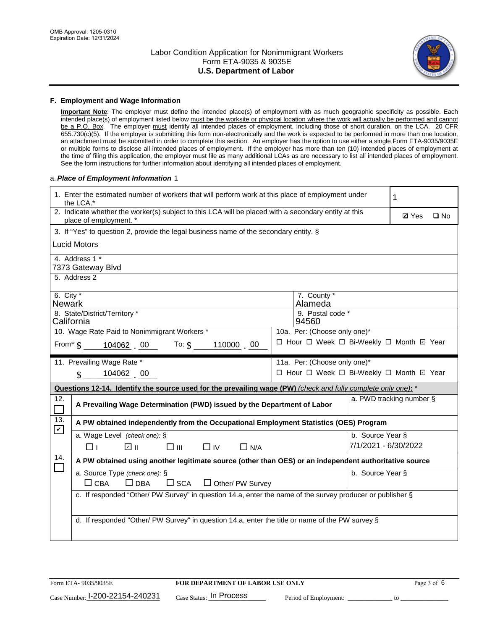

#### **F. Employment and Wage Information**

**Important Note**: The employer must define the intended place(s) of employment with as much geographic specificity as possible. Each intended place(s) of employment listed below must be the worksite or physical location where the work will actually be performed and cannot be a P.O. Box. The employer must identify all intended places of employment, including those of short duration, on the LCA. 20 CFR 655.730(c)(5). If the employer is submitting this form non-electronically and the work is expected to be performed in more than one location, an attachment must be submitted in order to complete this section. An employer has the option to use either a single Form ETA-9035/9035E or multiple forms to disclose all intended places of employment. If the employer has more than ten (10) intended places of employment at the time of filing this application, the employer must file as many additional LCAs as are necessary to list all intended places of employment. See the form instructions for further information about identifying all intended places of employment.

### a.*Place of Employment Information* 1

| 1. Enter the estimated number of workers that will perform work at this place of employment under<br>the LCA.* |                                                                                                                                |  |                                          |                      | 1            |              |
|----------------------------------------------------------------------------------------------------------------|--------------------------------------------------------------------------------------------------------------------------------|--|------------------------------------------|----------------------|--------------|--------------|
|                                                                                                                | 2. Indicate whether the worker(s) subject to this LCA will be placed with a secondary entity at this<br>place of employment. * |  |                                          |                      | <b>Ø</b> Yes | $\square$ No |
|                                                                                                                | 3. If "Yes" to question 2, provide the legal business name of the secondary entity. §                                          |  |                                          |                      |              |              |
|                                                                                                                | <b>Lucid Motors</b>                                                                                                            |  |                                          |                      |              |              |
|                                                                                                                | 4. Address 1 *<br>7373 Gateway Blvd                                                                                            |  |                                          |                      |              |              |
|                                                                                                                | 5. Address 2                                                                                                                   |  |                                          |                      |              |              |
| 6. City $*$<br><b>Newark</b>                                                                                   |                                                                                                                                |  | 7. County *<br>Alameda                   |                      |              |              |
| California                                                                                                     | 8. State/District/Territory *                                                                                                  |  | 9. Postal code *<br>94560                |                      |              |              |
|                                                                                                                | 10. Wage Rate Paid to Nonimmigrant Workers *                                                                                   |  | 10a. Per: (Choose only one)*             |                      |              |              |
|                                                                                                                | □ Hour □ Week □ Bi-Weekly □ Month □ Year<br>From $\text{\$}$ 104062 00 To: $\text{\$}$<br>110000 00                            |  |                                          |                      |              |              |
|                                                                                                                | 11. Prevailing Wage Rate *                                                                                                     |  | 11a. Per: (Choose only one)*             |                      |              |              |
|                                                                                                                | 104062 00<br>$\mathbf{\$}$                                                                                                     |  | □ Hour □ Week □ Bi-Weekly □ Month ☑ Year |                      |              |              |
|                                                                                                                | Questions 12-14. Identify the source used for the prevailing wage (PW) (check and fully complete only one): *                  |  |                                          |                      |              |              |
| 12.                                                                                                            | a. PWD tracking number §<br>A Prevailing Wage Determination (PWD) issued by the Department of Labor                            |  |                                          |                      |              |              |
| 13.                                                                                                            | A PW obtained independently from the Occupational Employment Statistics (OES) Program                                          |  |                                          |                      |              |              |
| $\blacktriangledown$                                                                                           | a. Wage Level (check one): §                                                                                                   |  |                                          | b. Source Year §     |              |              |
|                                                                                                                | ☑ ⊪<br>$\square$ $\square$<br>$\square$ IV<br>$\Box$ N/A<br>□⊥                                                                 |  |                                          | 7/1/2021 - 6/30/2022 |              |              |
| 14.                                                                                                            | A PW obtained using another legitimate source (other than OES) or an independent authoritative source                          |  |                                          |                      |              |              |
|                                                                                                                | a. Source Type (check one): §<br>b. Source Year §<br>$\Box$ CBA<br>$\Box$ DBA<br>$\square$ SCA<br>Other/ PW Survey             |  |                                          |                      |              |              |
|                                                                                                                | c. If responded "Other/ PW Survey" in question 14.a, enter the name of the survey producer or publisher §                      |  |                                          |                      |              |              |
|                                                                                                                | d. If responded "Other/ PW Survey" in question 14.a, enter the title or name of the PW survey §                                |  |                                          |                      |              |              |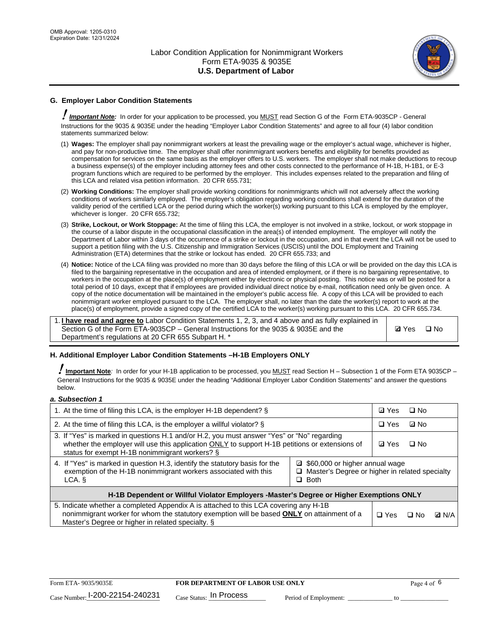

## **G. Employer Labor Condition Statements**

! *Important Note:* In order for your application to be processed, you MUST read Section G of the Form ETA-9035CP - General Instructions for the 9035 & 9035E under the heading "Employer Labor Condition Statements" and agree to all four (4) labor condition statements summarized below:

- (1) **Wages:** The employer shall pay nonimmigrant workers at least the prevailing wage or the employer's actual wage, whichever is higher, and pay for non-productive time. The employer shall offer nonimmigrant workers benefits and eligibility for benefits provided as compensation for services on the same basis as the employer offers to U.S. workers. The employer shall not make deductions to recoup a business expense(s) of the employer including attorney fees and other costs connected to the performance of H-1B, H-1B1, or E-3 program functions which are required to be performed by the employer. This includes expenses related to the preparation and filing of this LCA and related visa petition information. 20 CFR 655.731;
- (2) **Working Conditions:** The employer shall provide working conditions for nonimmigrants which will not adversely affect the working conditions of workers similarly employed. The employer's obligation regarding working conditions shall extend for the duration of the validity period of the certified LCA or the period during which the worker(s) working pursuant to this LCA is employed by the employer, whichever is longer. 20 CFR 655.732;
- (3) **Strike, Lockout, or Work Stoppage:** At the time of filing this LCA, the employer is not involved in a strike, lockout, or work stoppage in the course of a labor dispute in the occupational classification in the area(s) of intended employment. The employer will notify the Department of Labor within 3 days of the occurrence of a strike or lockout in the occupation, and in that event the LCA will not be used to support a petition filing with the U.S. Citizenship and Immigration Services (USCIS) until the DOL Employment and Training Administration (ETA) determines that the strike or lockout has ended. 20 CFR 655.733; and
- (4) **Notice:** Notice of the LCA filing was provided no more than 30 days before the filing of this LCA or will be provided on the day this LCA is filed to the bargaining representative in the occupation and area of intended employment, or if there is no bargaining representative, to workers in the occupation at the place(s) of employment either by electronic or physical posting. This notice was or will be posted for a total period of 10 days, except that if employees are provided individual direct notice by e-mail, notification need only be given once. A copy of the notice documentation will be maintained in the employer's public access file. A copy of this LCA will be provided to each nonimmigrant worker employed pursuant to the LCA. The employer shall, no later than the date the worker(s) report to work at the place(s) of employment, provide a signed copy of the certified LCA to the worker(s) working pursuant to this LCA. 20 CFR 655.734.

1. **I have read and agree to** Labor Condition Statements 1, 2, 3, and 4 above and as fully explained in Section G of the Form ETA-9035CP – General Instructions for the 9035 & 9035E and the Department's regulations at 20 CFR 655 Subpart H. \*

**Ø**Yes ロNo

### **H. Additional Employer Labor Condition Statements –H-1B Employers ONLY**

!**Important Note***:* In order for your H-1B application to be processed, you MUST read Section H – Subsection 1 of the Form ETA 9035CP – General Instructions for the 9035 & 9035E under the heading "Additional Employer Labor Condition Statements" and answer the questions below.

#### *a. Subsection 1*

| 1. At the time of filing this LCA, is the employer H-1B dependent? §                                                                                                                                                                           |                                                                                                     |              | □ No      |              |
|------------------------------------------------------------------------------------------------------------------------------------------------------------------------------------------------------------------------------------------------|-----------------------------------------------------------------------------------------------------|--------------|-----------|--------------|
| 2. At the time of filing this LCA, is the employer a willful violator? $\S$                                                                                                                                                                    |                                                                                                     | $\Box$ Yes   | ⊡ No      |              |
| 3. If "Yes" is marked in questions H.1 and/or H.2, you must answer "Yes" or "No" regarding<br>whether the employer will use this application ONLY to support H-1B petitions or extensions of<br>status for exempt H-1B nonimmigrant workers? § |                                                                                                     | <b>☑</b> Yes | $\Box$ No |              |
| 4. If "Yes" is marked in question H.3, identify the statutory basis for the<br>exemption of the H-1B nonimmigrant workers associated with this<br>LCA. §                                                                                       | ■ \$60,000 or higher annual wage<br>□ Master's Degree or higher in related specialty<br>$\Box$ Both |              |           |              |
| H-1B Dependent or Willful Violator Employers -Master's Degree or Higher Exemptions ONLY                                                                                                                                                        |                                                                                                     |              |           |              |
| 5. Indicate whether a completed Appendix A is attached to this LCA covering any H-1B<br>nonimmigrant worker for whom the statutory exemption will be based <b>ONLY</b> on attainment of a<br>Master's Degree or higher in related specialty. § |                                                                                                     | $\Box$ Yes   | ⊡ No      | <b>Q</b> N/A |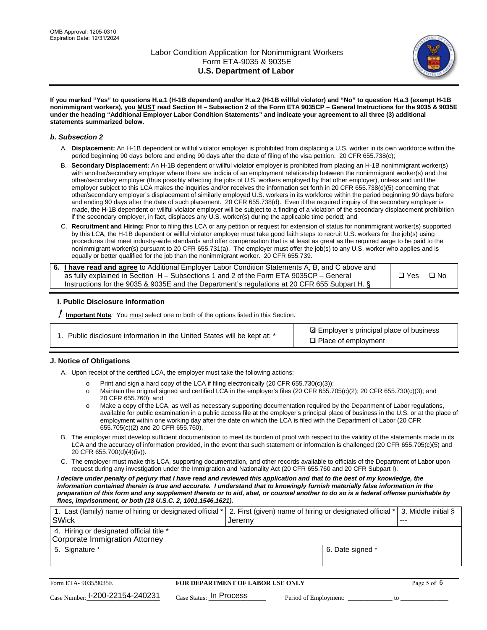

**If you marked "Yes" to questions H.a.1 (H-1B dependent) and/or H.a.2 (H-1B willful violator) and "No" to question H.a.3 (exempt H-1B nonimmigrant workers), you MUST read Section H – Subsection 2 of the Form ETA 9035CP – General Instructions for the 9035 & 9035E under the heading "Additional Employer Labor Condition Statements" and indicate your agreement to all three (3) additional statements summarized below.**

#### *b. Subsection 2*

- A. **Displacement:** An H-1B dependent or willful violator employer is prohibited from displacing a U.S. worker in its own workforce within the period beginning 90 days before and ending 90 days after the date of filing of the visa petition. 20 CFR 655.738(c);
- B. **Secondary Displacement:** An H-1B dependent or willful violator employer is prohibited from placing an H-1B nonimmigrant worker(s) with another/secondary employer where there are indicia of an employment relationship between the nonimmigrant worker(s) and that other/secondary employer (thus possibly affecting the jobs of U.S. workers employed by that other employer), unless and until the employer subject to this LCA makes the inquiries and/or receives the information set forth in 20 CFR 655.738(d)(5) concerning that other/secondary employer's displacement of similarly employed U.S. workers in its workforce within the period beginning 90 days before and ending 90 days after the date of such placement. 20 CFR 655.738(d). Even if the required inquiry of the secondary employer is made, the H-1B dependent or willful violator employer will be subject to a finding of a violation of the secondary displacement prohibition if the secondary employer, in fact, displaces any U.S. worker(s) during the applicable time period; and
- C. **Recruitment and Hiring:** Prior to filing this LCA or any petition or request for extension of status for nonimmigrant worker(s) supported by this LCA, the H-1B dependent or willful violator employer must take good faith steps to recruit U.S. workers for the job(s) using procedures that meet industry-wide standards and offer compensation that is at least as great as the required wage to be paid to the nonimmigrant worker(s) pursuant to 20 CFR 655.731(a). The employer must offer the job(s) to any U.S. worker who applies and is equally or better qualified for the job than the nonimmigrant worker. 20 CFR 655.739.

| 6. I have read and agree to Additional Employer Labor Condition Statements A, B, and C above and |               |           |
|--------------------------------------------------------------------------------------------------|---------------|-----------|
| as fully explained in Section H – Subsections 1 and 2 of the Form ETA 9035CP – General           | $\square$ Yes | $\Box$ No |
| Instructions for the 9035 & 9035 E and the Department's regulations at 20 CFR 655 Subpart H. §   |               |           |

### **I. Public Disclosure Information**

! **Important Note***:* You must select one or both of the options listed in this Section.

**sqrt** Employer's principal place of business □ Place of employment

### **J. Notice of Obligations**

A. Upon receipt of the certified LCA, the employer must take the following actions:

- o Print and sign a hard copy of the LCA if filing electronically (20 CFR 655.730(c)(3));<br>
Maintain the original signed and certified LCA in the employer's files (20 CFR 655.7
- Maintain the original signed and certified LCA in the employer's files (20 CFR 655.705(c)(2); 20 CFR 655.730(c)(3); and 20 CFR 655.760); and
- o Make a copy of the LCA, as well as necessary supporting documentation required by the Department of Labor regulations, available for public examination in a public access file at the employer's principal place of business in the U.S. or at the place of employment within one working day after the date on which the LCA is filed with the Department of Labor (20 CFR 655.705(c)(2) and 20 CFR 655.760).
- B. The employer must develop sufficient documentation to meet its burden of proof with respect to the validity of the statements made in its LCA and the accuracy of information provided, in the event that such statement or information is challenged (20 CFR 655.705(c)(5) and 20 CFR 655.700(d)(4)(iv)).
- C. The employer must make this LCA, supporting documentation, and other records available to officials of the Department of Labor upon request during any investigation under the Immigration and Nationality Act (20 CFR 655.760 and 20 CFR Subpart I).

*I declare under penalty of perjury that I have read and reviewed this application and that to the best of my knowledge, the*  information contained therein is true and accurate. I understand that to knowingly furnish materially false information in the *preparation of this form and any supplement thereto or to aid, abet, or counsel another to do so is a federal offense punishable by fines, imprisonment, or both (18 U.S.C. 2, 1001,1546,1621).*

| 1. Last (family) name of hiring or designated official *   2. First (given) name of hiring or designated official *   3. Middle initial § |                  |         |
|-------------------------------------------------------------------------------------------------------------------------------------------|------------------|---------|
| <b>SWick</b>                                                                                                                              | l Jeremv         | $- - -$ |
| 4. Hiring or designated official title *                                                                                                  |                  |         |
| Corporate Immigration Attorney                                                                                                            |                  |         |
| 5. Signature *                                                                                                                            | 6. Date signed * |         |
|                                                                                                                                           |                  |         |